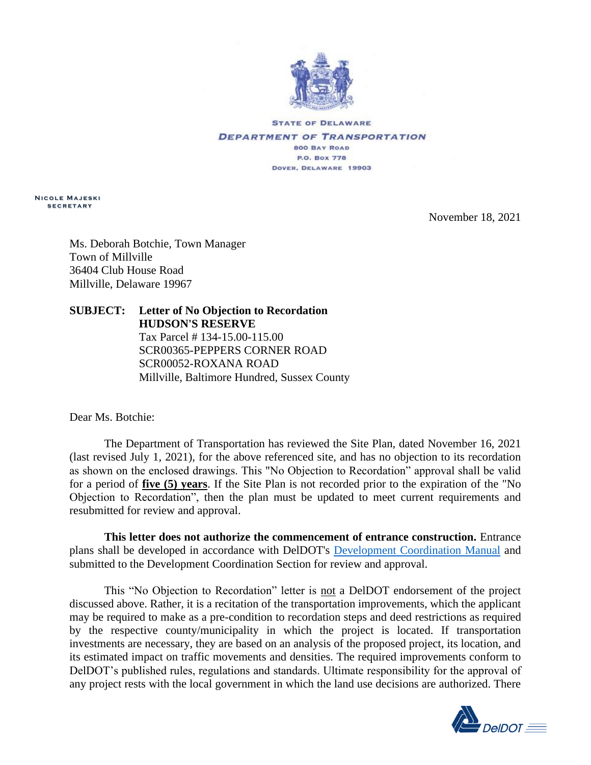

**STATE OF DELAWARE DEPARTMENT OF TRANSPORTATION 800 BAY ROAD P.O. Box 778** DOVER, DELAWARE 19903

**N i c o l e M a j e s k i s e c r e t a r y**

November 18, 2021

Ms. Deborah Botchie, Town Manager Town of Millville 36404 Club House Road Millville, Delaware 19967

## **SUBJECT: Letter of No Objection to Recordation HUDSON'S RESERVE** Tax Parcel # 134-15.00-115.00 SCR00365-PEPPERS CORNER ROAD SCR00052-ROXANA ROAD

Millville, Baltimore Hundred, Sussex County

Dear Ms. Botchie:

The Department of Transportation has reviewed the Site Plan, dated November 16, 2021 (last revised July 1, 2021), for the above referenced site, and has no objection to its recordation as shown on the enclosed drawings. This "No Objection to Recordation" approval shall be valid for a period of **five (5) years**. If the Site Plan is not recorded prior to the expiration of the "No Objection to Recordation", then the plan must be updated to meet current requirements and resubmitted for review and approval.

**This letter does not authorize the commencement of entrance construction.** Entrance plans shall be developed in accordance with DelDOT's [Development Coordination Manual](https://deldot.gov/Business/subdivisions/index.shtml?dc=changes) and submitted to the Development Coordination Section for review and approval.

This "No Objection to Recordation" letter is not a DelDOT endorsement of the project discussed above. Rather, it is a recitation of the transportation improvements, which the applicant may be required to make as a pre-condition to recordation steps and deed restrictions as required by the respective county/municipality in which the project is located. If transportation investments are necessary, they are based on an analysis of the proposed project, its location, and its estimated impact on traffic movements and densities. The required improvements conform to DelDOT's published rules, regulations and standards. Ultimate responsibility for the approval of any project rests with the local government in which the land use decisions are authorized. There